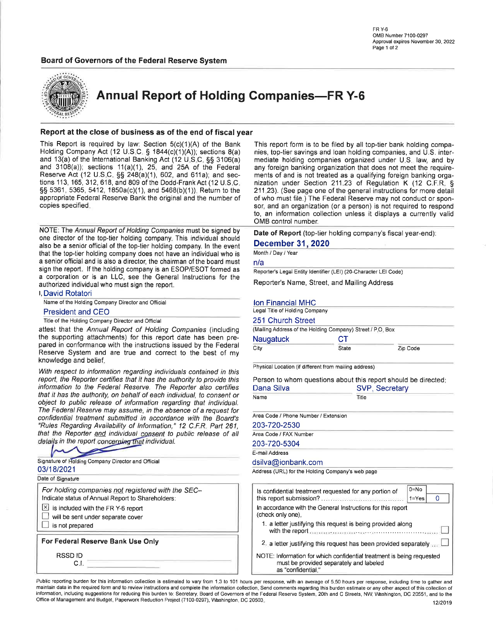

**Annual Report of Holding Companies-FR Y-6** 

#### Report at the close of business as of the end of fiscal year

This Report is required by law: Section 5(c)(1)(A) of the Bank Holding Company Act (12 U.S.C. § 1844(c)(1)(A)); sections 8(a) and 13(a) of the International Banking Act (12 U.S.C. §§ 3106(a) and  $3108(a)$ ; sections  $11(a)(1)$ , 25, and 25A of the Federal Reserve Act (12 U.S.C. §§ 248(a)(1), 602, and 611a); and sections 113, 165, 312, 618, and 809 of the Dodd-Frank Act (12 U.S.C. §§ 5361, 5365, 5412, 1850a(c)(1), and 5468(b)(1)). Return to the appropriate Federal Reserve Bank the original and the number of copies specified.

NOTE: The Annual Report of Holding Companies must be signed by one director of the top-tier holding company. This individual should also be a senior official of the top-tier holding company. In the event that the top-tier holding company does not have an individual who is a senior official and is also a director, the chairman of the board must sign the report. If the holding company is an ESOP/ESOT formed as a corporation or is an LLC, see the General Instructions for the authorized individual who must sign the report.

**I, David Rotatori** 

Name of the Holding Company Director and Official

#### **President and CEO**

Title of the Holding Company Director and Official

attest that the Annual Report of Holding Companies (including the supporting attachments) for this report date has been prepared in conformance with the instructions issued by the Federal Reserve System and are true and correct to the best of my knowledge and belief.

With respect to information regarding individuals contained in this report, the Reporter certifies that it has the authority to provide this information to the Federal Reserve. The Reporter also certifies that it has the authority, on behalf of each individual, to consent or object to public release of information regarding that individual. The Federal Reserve may assume, in the absence of a request for confidential treatment submitted in accordance with the Board's "Rules Regarding Availability of Information," 12 C.F.R. Part 261, that the Reporter and individual consent to public release of all details in the report concerning that individual.

| Signature of Holding Company Director and Official                                                      |  |
|---------------------------------------------------------------------------------------------------------|--|
| 03/18/2021                                                                                              |  |
| Date of Signature                                                                                       |  |
| For holding companies not registered with the SEC-<br>Indicate status of Annual Report to Shareholders: |  |
| $\boxed{\times}$ is included with the FR Y-6 report                                                     |  |
| will be sent under separate cover                                                                       |  |
| is not prepared                                                                                         |  |
| For Federal Reserve Bank Use Only                                                                       |  |
| <b>RSSDID</b><br>C.I.                                                                                   |  |
|                                                                                                         |  |

This report form is to be filed by all top-tier bank holding companies, top-tier savings and loan holding companies, and U.S. intermediate holding companies organized under U.S. law, and by any foreign banking organization that does not meet the requirements of and is not treated as a qualifying foreign banking organization under Section 211.23 of Regulation K (12 C.F.R. § 211.23). (See page one of the general instructions for more detail of who must file.) The Federal Reserve may not conduct or sponsor, and an organization (or a person) is not required to respond to, an information collection unless it displays a currently valid OMB control number.

Date of Report (top-tier holding company's fiscal year-end):

#### **December 31, 2020**

Month / Day / Year

n/a

Reporter's Legal Entity Identifier (LEI) (20-Character LEI Code)

Reporter's Name, Street, and Mailing Address

#### **Ion Financial MHC**

Legal Title of Holding Company

#### 251 Church Street

|                  | (Mailing Address of the Holding Company) Street / P.O. Box |          |
|------------------|------------------------------------------------------------|----------|
| <b>Naugatuck</b> | СT                                                         |          |
| City             | <b>State</b>                                               | Zip Code |

Physical Location (if different from mailing address)

Person to whom questions about this report should be directed:

| Dana Silva                           | SVP, Secretary<br>Title |  |  |
|--------------------------------------|-------------------------|--|--|
| Name                                 |                         |  |  |
| Area Code / Phone Number / Extension |                         |  |  |
| 203-720-2530                         |                         |  |  |
| Area Code / FAX Number               |                         |  |  |
| 203-720-5304                         |                         |  |  |
| E-mail Address                       |                         |  |  |

dsilva@ionbank.com

Address (URL) for the Holding Company's web page

| $0 = No$<br>Is confidential treatment requested for any portion of<br>$1 = Yes$                                                        |
|----------------------------------------------------------------------------------------------------------------------------------------|
| In accordance with the General Instructions for this report<br>(check only one).                                                       |
| 1. a letter justifying this request is being provided along<br>with the report <b>assumer construction</b> continuum contains and      |
| 2 a letter justifying this request has been provided separately                                                                        |
| NOTE: Information for which confidential treatment is being requested<br>must be provided separately and labeled<br>as "confidential." |

Public reporting burden for this information collection is estimated to vary from 1.3 to 101 hours per response, with an average of 5.50 hours per response, including time to gather and maintain data in the required form and to review instructions and complete the information collection. Send comments regarding this burden estimate or any other aspect of this collection of information, including suggestions for reducing this burden to: Secretary, Board of Governors of the Federal Reserve System, 20th and C Streets, NW, Washington, DC 20551, and to the Office of Management and Budget, Paperwork Reduction Project (7100-0297), Washington, DC 20503.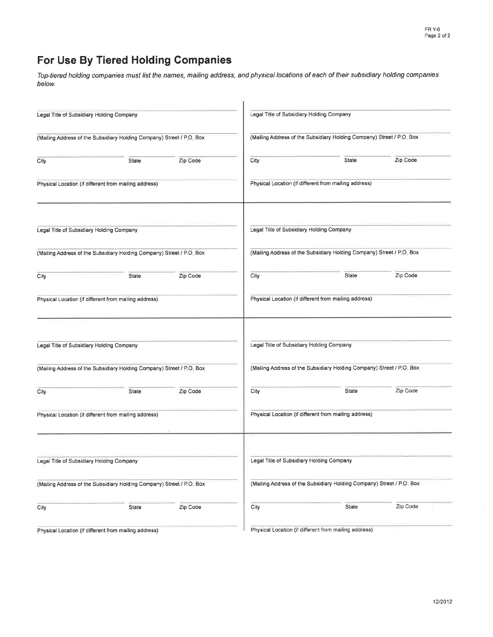## For Use By Tiered Holding Companies

Top-tiered holding companies must list the names, mailing address, and physical locations of each of their subsidiary holding companies below.

| Legal Title of Subsidiary Holding Company |                                                                       |          |      | Legal Title of Subsidiary Holding Company                             |          |
|-------------------------------------------|-----------------------------------------------------------------------|----------|------|-----------------------------------------------------------------------|----------|
|                                           | (Mailing Address of the Subsidiary Holding Company) Street / P.O. Box |          |      | (Mailing Address of the Subsidiary Holding Company) Street / P.O. Box |          |
| City                                      | State                                                                 | Zip Code | City | State                                                                 | Zip Code |
|                                           | Physical Location (if different from mailing address)                 |          |      | Physical Location (if different from mailing address)                 |          |
| Legal Title of Subsidiary Holding Company |                                                                       |          |      | Legal Title of Subsidiary Holding Company                             |          |
|                                           | (Mailing Address of the Subsidiary Holding Company) Street / P.O. Box |          |      | (Mailing Address of the Subsidiary Holding Company) Street / P.O. Box |          |
| City                                      | State                                                                 | Zip Code | City | State                                                                 | Zip Code |
|                                           | Physical Location (if different from mailing address)                 |          |      | Physical Location (if different from mailing address)                 |          |
| Legal Title of Subsidiary Holding Company |                                                                       |          |      | Legal Title of Subsidiary Holding Company                             |          |
|                                           | (Mailing Address of the Subsidiary Holding Company) Street / P.O. Box |          |      | (Mailing Address of the Subsidiary Holding Company) Street / P.O. Box |          |
| City                                      | State                                                                 | Zip Code | City | State                                                                 | Zip Code |
|                                           | Physical Location (if different from mailing address)                 |          |      | Physical Location (if different from mailing address)                 |          |
| Legal Title of Subsidiary Holding Company |                                                                       |          |      | Legal Title of Subsidiary Holding Company                             |          |
|                                           | (Mailing Address of the Subsidiary Holding Company) Street / P.O. Box |          |      | (Mailing Address of the Subsidiary Holding Company) Street / P.O. Box |          |
| City                                      | State                                                                 | Zip Code | City | State                                                                 | Zip Code |
|                                           | Physical Location (if different from mailing address)                 |          |      | Physical Location (if different from mailing address)                 |          |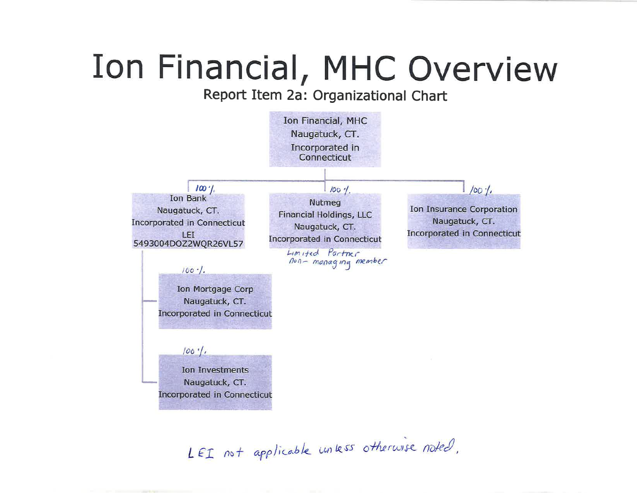# Ion Financial, MHC Overview

## Report Item 2a: Organizational Chart



LEI not applicable unless otherwise noted.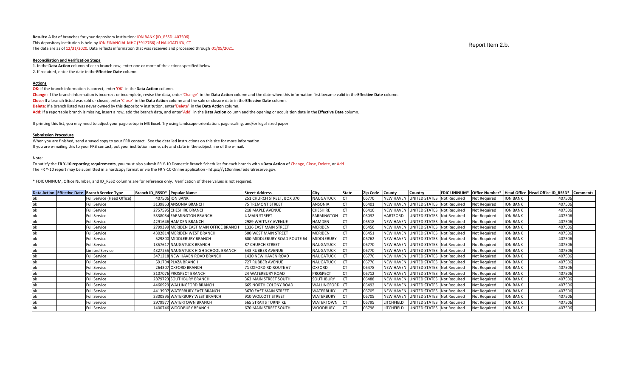**Results:** A list of branches for your depository institution: ION BANK (ID\_RSSD: 407506). This depository institution is held by ION FINANCIAL MHC (3912766) of NAUGATUCK, CT. The data are as of 12/31/2020. Data reflects information that was received and processed through 01/05/2021.

#### **Reconciliation and Verification Steps**

1. In the **Data Action** column of each branch row, enter one or more of the actions specified below 2. If required, enter the date in the **Effective Date** column

#### **Actions**

**OK:** If the branch information is correct, enter 'OK' in the **Data Action** column.

Change: If the branch information is incorrect or incomplete, revise the data, enter 'Change' in the Data Action column and the date when this information first became valid in the Effective Date column.

**Close:** If a branch listed was sold or closed, enter 'Close' in the **Data Action** column and the sale or closure date in the **Effective Date** column.

**Delete:** If a branch listed was never owned by this depository institution, enter 'Delete' in the **Data Action** column.

**Add:** If a reportable branch is missing, insert a row, add the branch data, and enter 'Add' in the **Data Action** column and the opening or acquisition date in the **Effective Date** column.

If printing this list, you may need to adjust your page setup in MS Excel. Try using landscape orientation, page scaling, and/or legal sized paper

#### **Submission Procedure**

When you are finished, send a saved copy to your FRB contact. See the detailed instructions on this site for more information. If you are e-mailing this to your FRB contact, put your institution name, city and state in the subject line of the e-mail.

#### Note:

To satisfy the **FR Y‐10 reporting requirements**, you must also submit FR Y‐10 Domestic Branch Schedules for each branch with a **Data Action** of Change, Close, Delete, or Add. The FR Y‐10 report may be submitted in a hardcopy format or via the FR Y‐10 Online application ‐ https://y10online.federalreserve.gov.

\* FDIC UNINUM, Office Number, and ID\_RSSD columns are for reference only. Verification of these values is not required.

|  | Data Action Effective Date Branch Service Type | Branch ID RSSD* | <b>Popular Name</b>                     | <b>Street Address</b>        | <b>City</b>      | <b>State</b> | <b>Zip Code</b> | County           | Country                           | <b>FDIC UNINUM*</b> | Office Number*      |                 | Head Office Head Office ID RSSD* | <b>Comments</b> |
|--|------------------------------------------------|-----------------|-----------------------------------------|------------------------------|------------------|--------------|-----------------|------------------|-----------------------------------|---------------------|---------------------|-----------------|----------------------------------|-----------------|
|  | Full Service (Head Office)                     |                 | <b>407506 ION BANK</b>                  | 251 CHURCH STREET, BOX 370   | <b>NAUGATUCK</b> |              | 06770           | <b>NEW HAVEN</b> | <b>INITED STATES Not Required</b> |                     | <b>Not Required</b> | ION BANK        | 407506                           |                 |
|  | <b>Full Service</b>                            |                 | 3139853 ANSONIA BRANCH                  | <b>75 TREMONT STREET</b>     | ANSONIA          |              | 06401           | <b>NEW HAVEN</b> | <b>INITED STATES Not Required</b> |                     | <b>Not Required</b> | <b>ION BANK</b> | 407506                           |                 |
|  | Full Service                                   |                 | 2757595 CHESHIRE BRANCH                 | <b>218 MAPLE AVENUE</b>      | <b>CHESHIRE</b>  |              | 06410           | <b>NEW HAVEN</b> | <b>JNITED STATES Not Required</b> |                     | <b>Not Required</b> | <b>ION BANK</b> | 407506                           |                 |
|  | <b>Full Service</b>                            |                 | 5338034 FARMINGTON BRANCH               | <b>4 MAIN STREET</b>         | FARMINGTON CT    |              | 06032           | <b>HARTFORD</b>  | JNITED STATES Not Required        |                     | <b>Not Required</b> | <b>ION BANK</b> | 407506                           |                 |
|  | <b>Full Service</b>                            |                 | 4291646 HAMDEN BRANCH                   | 2989 WHITNEY AVENUE          | HAMDEN           |              | 06518           | <b>NEW HAVEN</b> | JNITED STATES Not Required        |                     | <b>Not Required</b> | <b>ION BANK</b> | 407506                           |                 |
|  | <b>Full Service</b>                            |                 | 2799399 MERIDEN EAST MAIN OFFICE BRANCH | 1336 EAST MAIN STREET        | <b>MERIDEN</b>   |              | 06450           | <b>NEW HAVEN</b> | JNITED STATES Not Required        |                     | <b>Not Required</b> | <b>ION BANK</b> | 407506                           |                 |
|  | <b>Full Service</b>                            |                 | 4302814 MERIDEN WEST BRANCH             | 500 WEST MAIN STREET         | <b>MERIDEN</b>   |              | 06451           | <b>NEW HAVEN</b> | <b>INITED STATES Not Required</b> |                     | <b>Not Required</b> | <b>ION BANK</b> | 407506                           |                 |
|  | <b>Full Service</b>                            |                 | 529800 MIDDLEBURY BRANCH                | 600 MIDDLEBURY ROAD ROUTE 64 | MIDDLEBURY       |              | 06762           | <b>NEW HAVEN</b> | <b>JNITED STATES Not Required</b> |                     | Not Required        | <b>ION BANK</b> | 407506                           |                 |
|  | <b>Full Service</b>                            |                 | 1357617 NAUGATUCK BRANCH                | 87 CHURCH STREET             | <b>NAUGATUCK</b> |              | 06770           | <b>NEW HAVEN</b> | JNITED STATES Not Required        |                     | <b>Not Required</b> | <b>ION BANK</b> | 407506                           |                 |
|  | <b>Limited Service</b>                         |                 | 4327255 NAUGATUCK HIGH SCHOOL BRANCH    | 543 RUBBER AVENUE            | <b>NAUGATUCK</b> |              | 06770           | <b>NEW HAVEN</b> | JNITED STATES Not Required        |                     | Not Required        | <b>ION BANK</b> | 407506                           |                 |
|  | <b>Full Service</b>                            |                 | 3471218 NEW HAVEN ROAD BRANCH           | 1430 NEW HAVEN ROAD          | <b>NAUGATUCK</b> |              | 06770           | <b>NEW HAVEN</b> | UNITED STATES Not Required        |                     | Not Required        | <b>ION BANK</b> | 407506                           |                 |
|  | Full Service                                   |                 | 591704 PLAZA BRANCH                     | 727 RUBBER AVENUE            | <b>NAUGATUCK</b> |              | 06770           | <b>NEW HAVEN</b> | JNITED STATES Not Required        |                     | <b>Not Required</b> | <b>ION BANK</b> | 407506                           |                 |
|  | Full Service                                   |                 | 264307 OXFORD BRANCH                    | 71 OXFORD RD ROUTE 67        | OXFORD           |              | 06478           | <b>NEW HAVEN</b> | <b>INITED STATES Not Required</b> |                     | Not Required        | <b>ION BANK</b> | 407506                           |                 |
|  | <b>Full Service</b>                            |                 | 3107076 PROSPECT BRANCH                 | <b>24 WATERBURY ROAD</b>     | <b>PROSPECT</b>  |              | 06712           | <b>NEW HAVEN</b> | JNITED STATES Not Required        |                     | Not Required        | <b>ION BANK</b> | 407506                           |                 |
|  | <b>Full Service</b>                            |                 | 2879723 SOUTHBURY BRANCH                | 363 MAIN STREET SOUTH        | <b>SOUTHBURY</b> |              | 06488           | <b>NEW HAVEN</b> | <b>INITED STATES Not Required</b> |                     | Not Required        | <b>ION BANK</b> | 407506                           |                 |
|  | <b>Full Service</b>                            |                 | 4460929 WALLINGFORD BRANCH              | 665 NORTH COLONY ROAD        | WALLINGFORD CT   |              | 06492           | <b>NEW HAVEN</b> | <b>JNITED STATES Not Required</b> |                     | <b>Not Required</b> | <b>ION BANK</b> | 407506                           |                 |
|  | <b>Full Service</b>                            |                 | 4413907 WATERBURY EAST BRANCH           | 3670 EAST MAIN STREET        | WATERBURY        |              | 06705           | <b>NEW HAVEN</b> | NITED STATES Not Required         |                     | <b>Not Required</b> | <b>ION BANK</b> | 407506                           |                 |
|  | <b>Full Service</b>                            |                 | 3300895 WATERBURY WEST BRANCH           | 910 WOLCOTT STREET           | <b>WATERBURY</b> |              | 06705           | <b>NEW HAVEN</b> | NITED STATES Not Required         |                     | Not Required        | <b>ION BANK</b> | 407506                           |                 |
|  | <b>Full Service</b>                            |                 | 2979977 WATERTOWN BRANCH                | <b>565 STRAITS TURNPIKE</b>  | WATERTOWN        |              | 06795           | LITCHFIELD       | NITED STATES Not Required         |                     | <b>Not Required</b> | <b>ION BANK</b> | 407506                           |                 |
|  | <b>Full Service</b>                            |                 | 1400746 WOODBURY BRANCH                 | <b>670 MAIN STREET SOUTH</b> | <b>WOODBURY</b>  |              | 06798           | LITCHFIELD       | <b>INITED STATES</b> Not Required |                     | Not Required        | <b>ION BANK</b> | 407506                           |                 |

Report Item 2.b.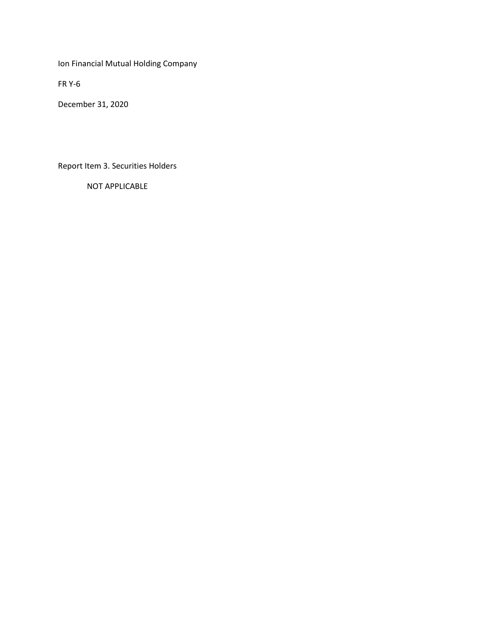Ion Financial Mutual Holding Company

FR Y-6

December 31, 2020

Report Item 3. Securities Holders

NOT APPLICABLE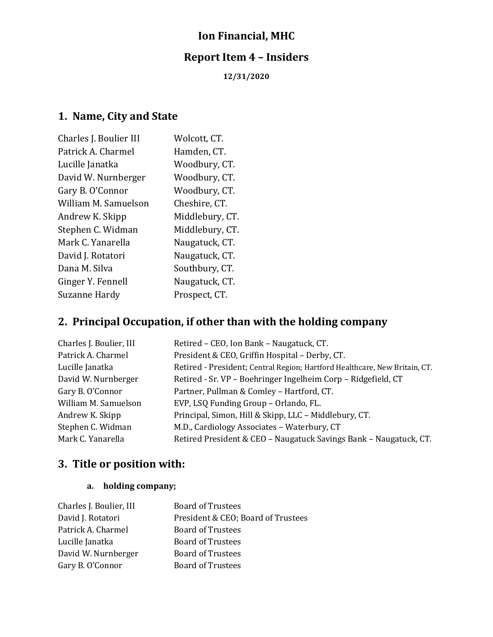## **Ion Financial, MHC**

## **Report Item 4 – Insiders**

**12/31/2020**

## **1. Name, City and State**

| Charles J. Boulier III | Wolcott, CT.    |
|------------------------|-----------------|
| Patrick A. Charmel     | Hamden, CT.     |
| Lucille Janatka        | Woodbury, CT.   |
| David W. Nurnberger    | Woodbury, CT.   |
| Gary B. O'Connor       | Woodbury, CT.   |
| William M. Samuelson   | Cheshire, CT.   |
| Andrew K. Skipp        | Middlebury, CT. |
| Stephen C. Widman      | Middlebury, CT. |
| Mark C. Yanarella      | Naugatuck, CT.  |
| David J. Rotatori      | Naugatuck, CT.  |
| Dana M. Silva          | Southbury, CT.  |
| Ginger Y. Fennell      | Naugatuck, CT.  |
| Suzanne Hardy          | Prospect, CT.   |

## **2. Principal Occupation, if other than with the holding company**

| Charles J. Boulier, III | Retired - CEO, Ion Bank - Naugatuck, CT.                                   |
|-------------------------|----------------------------------------------------------------------------|
| Patrick A. Charmel      | President & CEO, Griffin Hospital - Derby, CT.                             |
| Lucille Janatka         | Retired - President; Central Region; Hartford Healthcare, New Britain, CT. |
| David W. Nurnberger     | Retired - Sr. VP - Boehringer Ingelheim Corp - Ridgefield, CT              |
| Gary B. O'Connor        | Partner, Pullman & Comley - Hartford, CT.                                  |
| William M. Samuelson    | EVP, LSQ Funding Group - Orlando, FL.                                      |
| Andrew K. Skipp         | Principal, Simon, Hill & Skipp, LLC - Middlebury, CT.                      |
| Stephen C. Widman       | M.D., Cardiology Associates - Waterbury, CT                                |
| Mark C. Yanarella       | Retired President & CEO - Naugatuck Savings Bank - Naugatuck, CT.          |

## **3. Title or position with:**

## **a. holding company;**

| Charles J. Boulier, III | <b>Board of Trustees</b>           |
|-------------------------|------------------------------------|
| David J. Rotatori       | President & CEO; Board of Trustees |
| Patrick A. Charmel      | <b>Board of Trustees</b>           |
| Lucille Janatka         | <b>Board of Trustees</b>           |
| David W. Nurnberger     | <b>Board of Trustees</b>           |
| Gary B. O'Connor        | <b>Board of Trustees</b>           |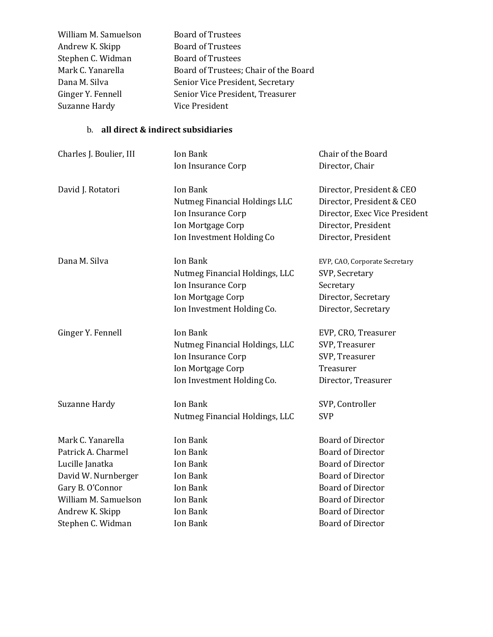| William M. Samuelson | <b>Board of Trustees</b>              |
|----------------------|---------------------------------------|
| Andrew K. Skipp      | <b>Board of Trustees</b>              |
| Stephen C. Widman    | <b>Board of Trustees</b>              |
| Mark C. Yanarella    | Board of Trustees; Chair of the Board |
| Dana M. Silva        | Senior Vice President, Secretary      |
| Ginger Y. Fennell    | Senior Vice President, Treasurer      |
| Suzanne Hardy        | Vice President                        |

### b. **all direct & indirect subsidiaries**

| Charles J. Boulier, III | Ion Bank<br>Ion Insurance Corp       | Chair of the Board<br>Director, Chair |
|-------------------------|--------------------------------------|---------------------------------------|
|                         |                                      |                                       |
| David J. Rotatori       | Ion Bank                             | Director, President & CEO             |
|                         | <b>Nutmeg Financial Holdings LLC</b> | Director, President & CEO             |
|                         | Ion Insurance Corp                   | Director, Exec Vice President         |
|                         | Ion Mortgage Corp                    | Director, President                   |
|                         | Ion Investment Holding Co            | Director, President                   |
| Dana M. Silva           | Ion Bank                             | EVP, CAO, Corporate Secretary         |
|                         | Nutmeg Financial Holdings, LLC       | SVP, Secretary                        |
|                         | Ion Insurance Corp                   | Secretary                             |
|                         | Ion Mortgage Corp                    | Director, Secretary                   |
|                         | Ion Investment Holding Co.           | Director, Secretary                   |
| Ginger Y. Fennell       | Ion Bank                             | EVP, CRO, Treasurer                   |
|                         | Nutmeg Financial Holdings, LLC       | SVP, Treasurer                        |
|                         | Ion Insurance Corp                   | SVP, Treasurer                        |
|                         | Ion Mortgage Corp                    | Treasurer                             |
|                         | Ion Investment Holding Co.           | Director, Treasurer                   |
| Suzanne Hardy           | <b>Ion Bank</b>                      | SVP, Controller                       |
|                         | Nutmeg Financial Holdings, LLC       | <b>SVP</b>                            |
| Mark C. Yanarella       | Ion Bank                             | <b>Board of Director</b>              |
| Patrick A. Charmel      | Ion Bank                             | <b>Board of Director</b>              |
| Lucille Janatka         | Ion Bank                             | <b>Board of Director</b>              |
| David W. Nurnberger     | Ion Bank                             | <b>Board of Director</b>              |
| Gary B. O'Connor        | Ion Bank                             | <b>Board of Director</b>              |
| William M. Samuelson    | Ion Bank                             | <b>Board of Director</b>              |
| Andrew K. Skipp         | Ion Bank                             | <b>Board of Director</b>              |
| Stephen C. Widman       | Ion Bank                             | <b>Board of Director</b>              |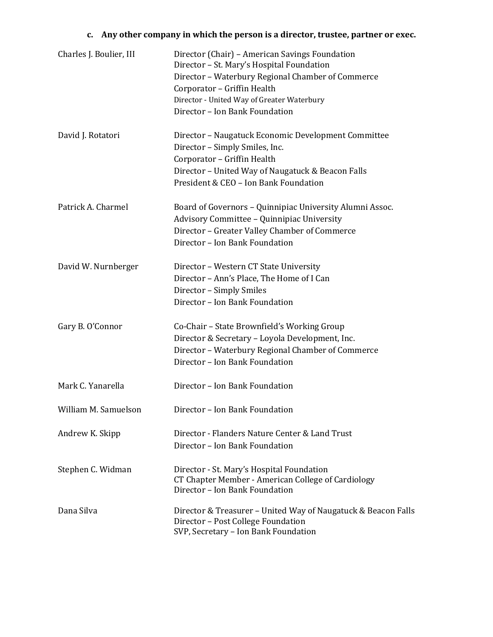## **c. Any other company in which the person is a director, trustee, partner or exec.**

| Charles J. Boulier, III | Director (Chair) - American Savings Foundation<br>Director - St. Mary's Hospital Foundation<br>Director - Waterbury Regional Chamber of Commerce<br>Corporator - Griffin Health<br>Director - United Way of Greater Waterbury<br>Director - Ion Bank Foundation |
|-------------------------|-----------------------------------------------------------------------------------------------------------------------------------------------------------------------------------------------------------------------------------------------------------------|
| David J. Rotatori       | Director - Naugatuck Economic Development Committee<br>Director - Simply Smiles, Inc.<br>Corporator - Griffin Health<br>Director - United Way of Naugatuck & Beacon Falls<br>President & CEO - Ion Bank Foundation                                              |
| Patrick A. Charmel      | Board of Governors - Quinnipiac University Alumni Assoc.<br>Advisory Committee - Quinnipiac University<br>Director - Greater Valley Chamber of Commerce<br>Director - Ion Bank Foundation                                                                       |
| David W. Nurnberger     | Director - Western CT State University<br>Director - Ann's Place, The Home of I Can<br>Director - Simply Smiles<br>Director - Ion Bank Foundation                                                                                                               |
| Gary B. O'Connor        | Co-Chair - State Brownfield's Working Group<br>Director & Secretary - Loyola Development, Inc.<br>Director - Waterbury Regional Chamber of Commerce<br>Director - Ion Bank Foundation                                                                           |
| Mark C. Yanarella       | Director - Ion Bank Foundation                                                                                                                                                                                                                                  |
| William M. Samuelson    | Director - Ion Bank Foundation                                                                                                                                                                                                                                  |
| Andrew K. Skipp         | Director - Flanders Nature Center & Land Trust<br>Director - Ion Bank Foundation                                                                                                                                                                                |
| Stephen C. Widman       | Director - St. Mary's Hospital Foundation<br>CT Chapter Member - American College of Cardiology<br>Director - Ion Bank Foundation                                                                                                                               |
| Dana Silva              | Director & Treasurer - United Way of Naugatuck & Beacon Falls<br>Director - Post College Foundation<br>SVP, Secretary - Ion Bank Foundation                                                                                                                     |